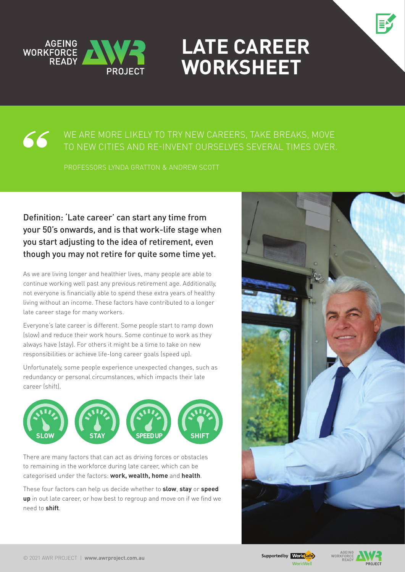



#### WE ARE MORE LIKELY TO TRY NEW CAREERS, TAKE BREAKS, MOVE 66 to new cities and re-invent ourselves several times over.

Professors Lynda Gratton & Andrew Scott

#### Definition: 'Late career' can start any time from your 50's onwards, and is that work-life stage when you start adjusting to the idea of retirement, even though you may not retire for quite some time yet.

As we are living longer and healthier lives, many people are able to continue working well past any previous retirement age. Additionally, not everyone is financially able to spend these extra years of healthy living without an income. These factors have contributed to a longer late career stage for many workers.

Everyone's late career is different. Some people start to ramp down (slow) and reduce their work hours. Some continue to work as they always have (stay). For others it might be a time to take on new responsibilities or achieve life-long career goals (speed up).

Unfortunately, some people experience unexpected changes, such as redundancy or personal circumstances, which impacts their late career (shift).



There are many factors that can act as driving forces or obstacles to remaining in the workforce during late career, which can be categorised under the factors: **work, wealth, home** and **health**.

These four factors can help us decide whether to **slow**, **stay** or **speed up** in out late career, or how best to regroup and move on if we find we need to **shift**.





**PPO IECT**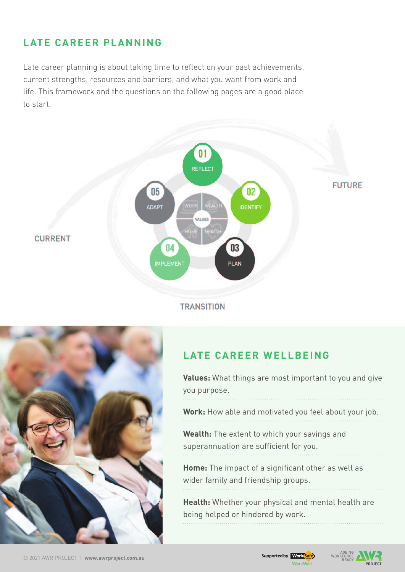# **Late Career Planning**

Late career planning is about taking time to reflect on your past achievements, current strengths, resources and barriers, and what you want from work and life. This framework and the questions on the following pages are a good place to start.



**TRANSITION** 



## **Late career wellbeing**

**Values:** What things are most important to you and give you purpose.

**Work:** How able and motivated you feel about your job.

**Wealth:** The extent to which your savings and superannuation are sufficient for you.

**Home:** The impact of a significant other as well as wider family and friendship groups.

**Health:** Whether your physical and mental health are being helped or hindered by work.

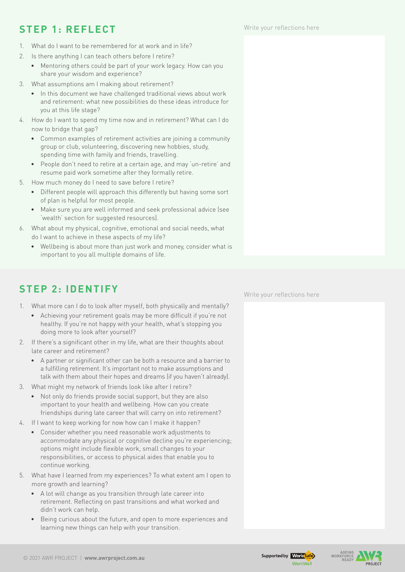## **Step 1: REFLECT**

- 1. What do I want to be remembered for at work and in life?
- 2. Is there anything I can teach others before I retire?
	- Mentoring others could be part of your work legacy. How can you share your wisdom and experience?
- 3. What assumptions am I making about retirement?
	- In this document we have challenged traditional views about work and retirement: what new possibilities do these ideas introduce for you at this life stage?
- 4. How do I want to spend my time now and in retirement? What can I do now to bridge that gap?
	- Common examples of retirement activities are joining a community group or club, volunteering, discovering new hobbies, study, spending time with family and friends, travelling.
	- People don't need to retire at a certain age, and may 'un-retire' and resume paid work sometime after they formally retire.
- 5. How much money do I need to save before I retire?
	- Different people will approach this differently but having some sort of plan is helpful for most people.
	- Make sure you are well informed and seek professional advice (see 'wealth' section for suggested resources).
- 6. What about my physical, cognitive, emotional and social needs, what do I want to achieve in these aspects of my life?
	- Wellbeing is about more than just work and money, consider what is important to you all multiple domains of life.

## **Step 2: IDENTIFY**

- 1. What more can I do to look after myself, both physically and mentally?
	- • Achieving your retirement goals may be more difficult if you're not healthy. If you're not happy with your health, what's stopping you doing more to look after yourself?
- 2. If there's a significant other in my life, what are their thoughts about late career and retirement?
	- • A partner or significant other can be both a resource and a barrier to a fulfilling retirement. It's important not to make assumptions and talk with them about their hopes and dreams (if you haven't already).
- 3. What might my network of friends look like after I retire?
	- Not only do friends provide social support, but they are also important to your health and wellbeing. How can you create friendships during late career that will carry on into retirement?
- 4. If I want to keep working for now how can I make it happen?
	- • Consider whether you need reasonable work adjustments to accommodate any physical or cognitive decline you're experiencing: options might include flexible work, small changes to your responsibilities, or access to physical aides that enable you to continue working.
- 5. What have I learned from my experiences? To what extent am I open to more growth and learning?
	- • A lot will change as you transition through late career into retirement. Reflecting on past transitions and what worked and didn't work can help.
	- • Being curious about the future, and open to more experiences and learning new things can help with your transition.

Write your reflections here